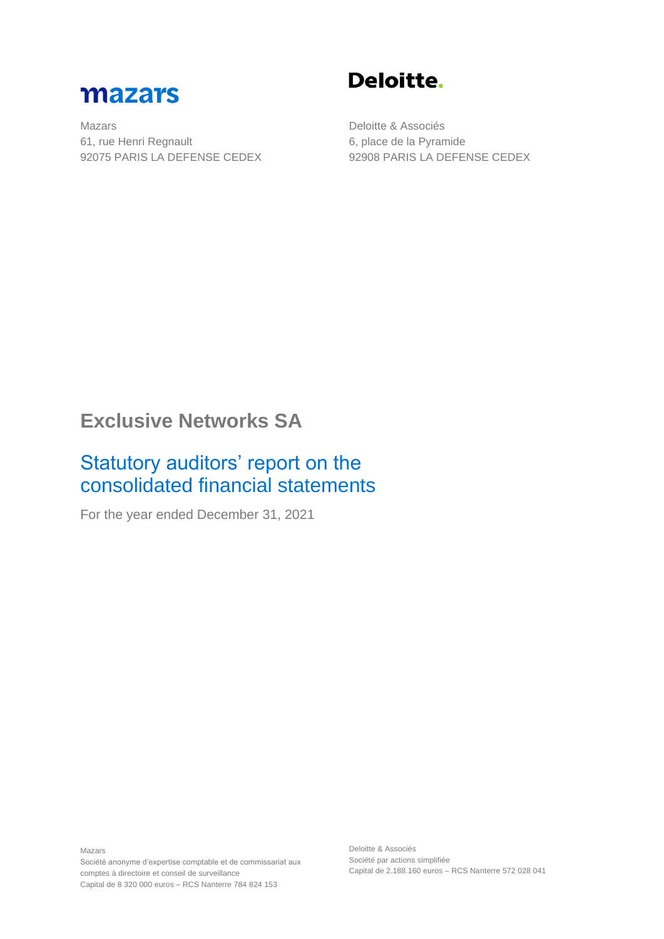

Mazars 61, rue Henri Regnault 92075 PARIS LA DEFENSE CEDEX

Deloitte.

Deloitte & Associés 6, place de la Pyramide 92908 PARIS LA DEFENSE CEDEX

# **Exclusive Networks SA**

# Statutory auditors' report on the consolidated financial statements

For the year ended December 31, 2021

Mazars Société anonyme d'expertise comptable et de commissariat aux comptes à directoire et conseil de surveillance Capital de 8 320 000 euros – RCS Nanterre 784 824 153

Deloitte & Associés Société par actions simplifiée Capital de 2.188.160 euros – RCS Nanterre 572 028 041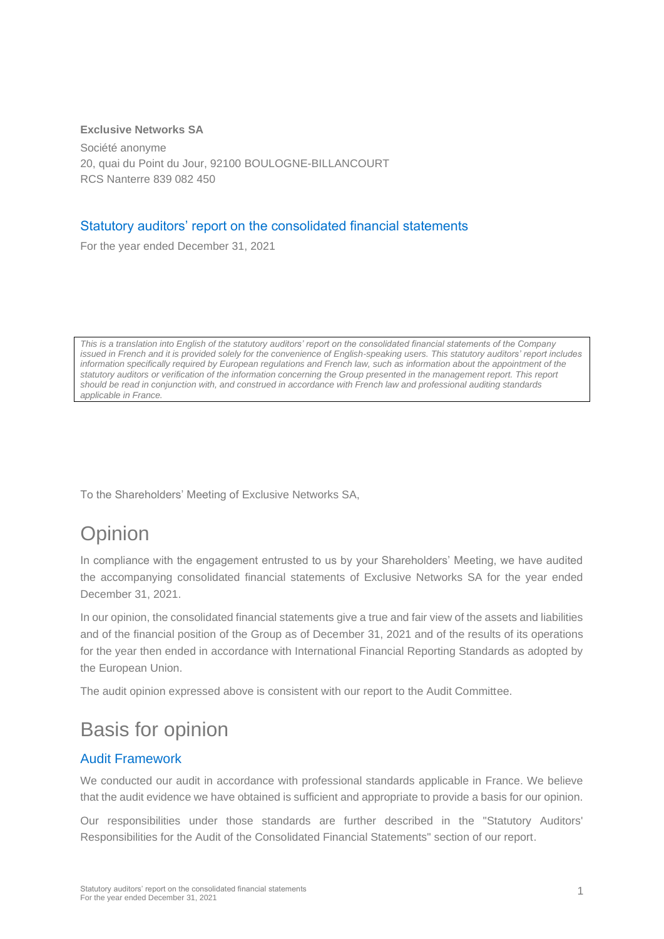#### **Exclusive Networks SA**

Société anonyme 20, quai du Point du Jour, 92100 BOULOGNE-BILLANCOURT RCS Nanterre 839 082 450

#### Statutory auditors' report on the consolidated financial statements

For the year ended December 31, 2021

*This is a translation into English of the statutory auditors' report on the consolidated financial statements of the Company*  issued in French and it is provided solely for the convenience of English-speaking users. This statutory auditors' report includes information specifically required by European regulations and French law, such as information about the appointment of the *statutory auditors or verification of the information concerning the Group presented in the management report. This report should be read in conjunction with, and construed in accordance with French law and professional auditing standards applicable in France.*

To the Shareholders' Meeting of Exclusive Networks SA,

# **Opinion**

In compliance with the engagement entrusted to us by your Shareholders' Meeting, we have audited the accompanying consolidated financial statements of Exclusive Networks SA for the year ended December 31, 2021.

In our opinion, the consolidated financial statements give a true and fair view of the assets and liabilities and of the financial position of the Group as of December 31, 2021 and of the results of its operations for the year then ended in accordance with International Financial Reporting Standards as adopted by the European Union.

The audit opinion expressed above is consistent with our report to the Audit Committee.

# Basis for opinion

#### Audit Framework

We conducted our audit in accordance with professional standards applicable in France. We believe that the audit evidence we have obtained is sufficient and appropriate to provide a basis for our opinion.

Our responsibilities under those standards are further described in the "Statutory Auditors' Responsibilities for the Audit of the Consolidated Financial Statements" section of our report.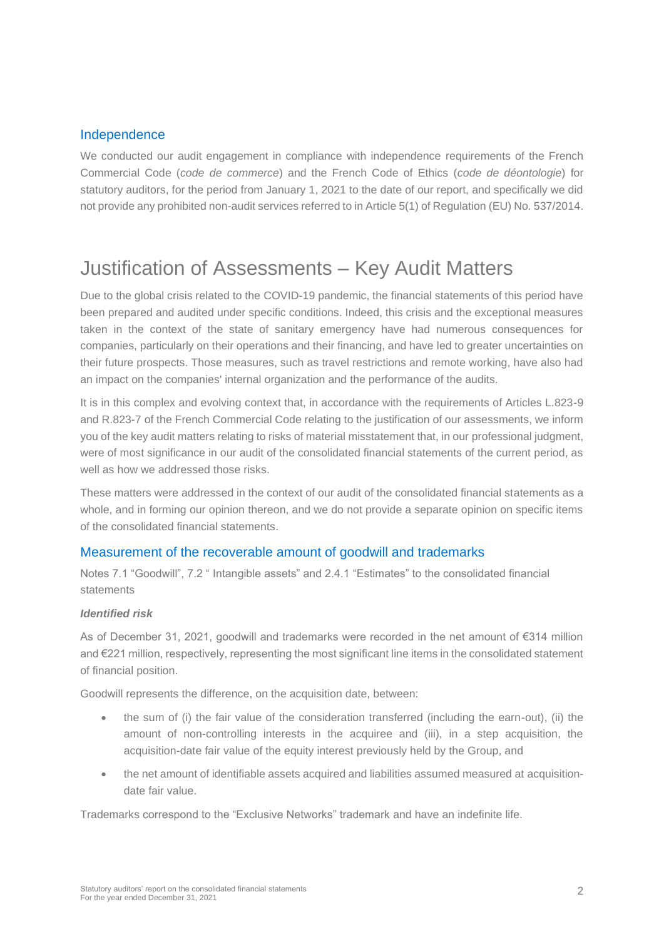#### Independence

We conducted our audit engagement in compliance with independence requirements of the French Commercial Code (*code de commerce*) and the French Code of Ethics (*code de déontologie*) for statutory auditors, for the period from January 1, 2021 to the date of our report, and specifically we did not provide any prohibited non-audit services referred to in Article 5(1) of Regulation (EU) No. 537/2014.

# Justification of Assessments – Key Audit Matters

Due to the global crisis related to the COVID-19 pandemic, the financial statements of this period have been prepared and audited under specific conditions. Indeed, this crisis and the exceptional measures taken in the context of the state of sanitary emergency have had numerous consequences for companies, particularly on their operations and their financing, and have led to greater uncertainties on their future prospects. Those measures, such as travel restrictions and remote working, have also had an impact on the companies' internal organization and the performance of the audits.

It is in this complex and evolving context that, in accordance with the requirements of Articles L.823-9 and R.823-7 of the French Commercial Code relating to the justification of our assessments, we inform you of the key audit matters relating to risks of material misstatement that, in our professional judgment, were of most significance in our audit of the consolidated financial statements of the current period, as well as how we addressed those risks.

These matters were addressed in the context of our audit of the consolidated financial statements as a whole, and in forming our opinion thereon, and we do not provide a separate opinion on specific items of the consolidated financial statements.

#### Measurement of the recoverable amount of goodwill and trademarks

Notes 7.1 "Goodwill", 7.2 " Intangible assets" and 2.4.1 "Estimates" to the consolidated financial statements

#### *Identified risk*

As of December 31, 2021, goodwill and trademarks were recorded in the net amount of €314 million and €221 million, respectively, representing the most significant line items in the consolidated statement of financial position.

Goodwill represents the difference, on the acquisition date, between:

- the sum of (i) the fair value of the consideration transferred (including the earn-out), (ii) the amount of non-controlling interests in the acquiree and (iii), in a step acquisition, the acquisition-date fair value of the equity interest previously held by the Group, and
- the net amount of identifiable assets acquired and liabilities assumed measured at acquisitiondate fair value.

Trademarks correspond to the "Exclusive Networks" trademark and have an indefinite life.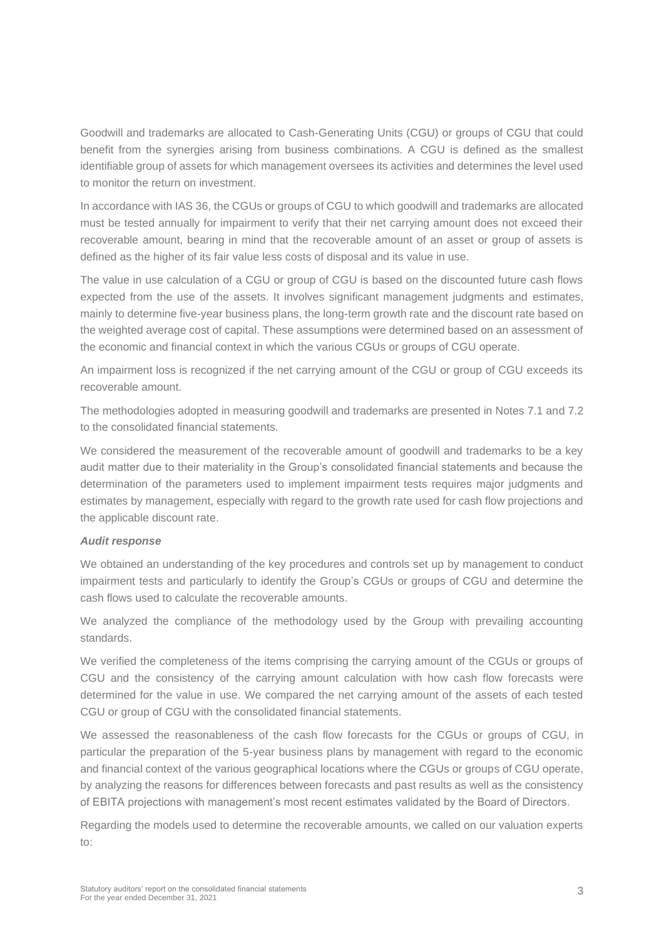Goodwill and trademarks are allocated to Cash-Generating Units (CGU) or groups of CGU that could benefit from the synergies arising from business combinations. A CGU is defined as the smallest identifiable group of assets for which management oversees its activities and determines the level used to monitor the return on investment.

In accordance with IAS 36, the CGUs or groups of CGU to which goodwill and trademarks are allocated must be tested annually for impairment to verify that their net carrying amount does not exceed their recoverable amount, bearing in mind that the recoverable amount of an asset or group of assets is defined as the higher of its fair value less costs of disposal and its value in use.

The value in use calculation of a CGU or group of CGU is based on the discounted future cash flows expected from the use of the assets. It involves significant management judgments and estimates, mainly to determine five-year business plans, the long-term growth rate and the discount rate based on the weighted average cost of capital. These assumptions were determined based on an assessment of the economic and financial context in which the various CGUs or groups of CGU operate.

An impairment loss is recognized if the net carrying amount of the CGU or group of CGU exceeds its recoverable amount.

The methodologies adopted in measuring goodwill and trademarks are presented in Notes 7.1 and 7.2 to the consolidated financial statements.

We considered the measurement of the recoverable amount of goodwill and trademarks to be a key audit matter due to their materiality in the Group's consolidated financial statements and because the determination of the parameters used to implement impairment tests requires major judgments and estimates by management, especially with regard to the growth rate used for cash flow projections and the applicable discount rate.

#### *Audit response*

We obtained an understanding of the key procedures and controls set up by management to conduct impairment tests and particularly to identify the Group's CGUs or groups of CGU and determine the cash flows used to calculate the recoverable amounts.

We analyzed the compliance of the methodology used by the Group with prevailing accounting standards.

We verified the completeness of the items comprising the carrying amount of the CGUs or groups of CGU and the consistency of the carrying amount calculation with how cash flow forecasts were determined for the value in use. We compared the net carrying amount of the assets of each tested CGU or group of CGU with the consolidated financial statements.

We assessed the reasonableness of the cash flow forecasts for the CGUs or groups of CGU, in particular the preparation of the 5-year business plans by management with regard to the economic and financial context of the various geographical locations where the CGUs or groups of CGU operate, by analyzing the reasons for differences between forecasts and past results as well as the consistency of EBITA projections with management's most recent estimates validated by the Board of Directors.

Regarding the models used to determine the recoverable amounts, we called on our valuation experts to: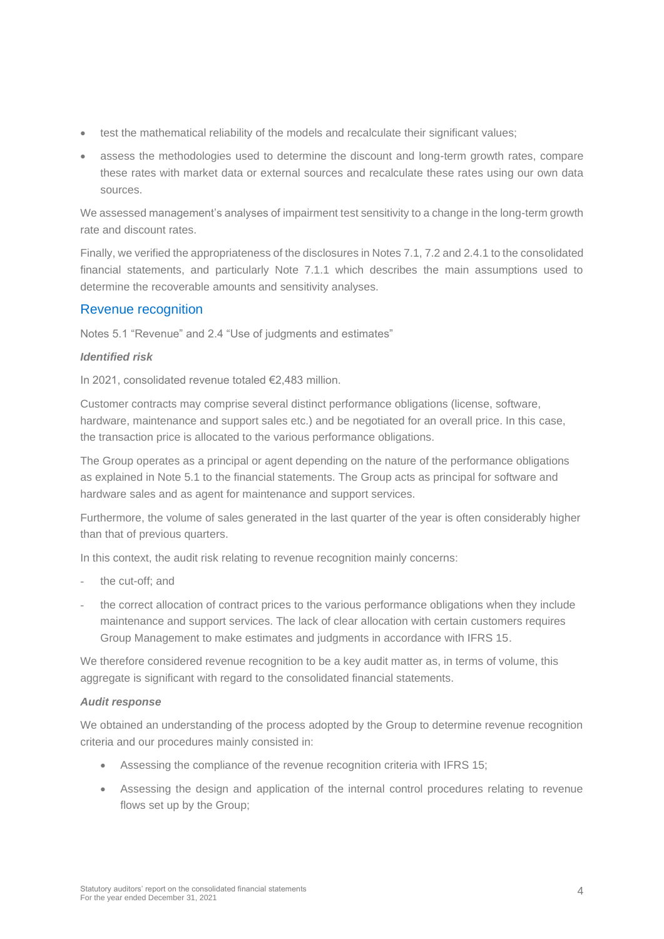- test the mathematical reliability of the models and recalculate their significant values;
- assess the methodologies used to determine the discount and long-term growth rates, compare these rates with market data or external sources and recalculate these rates using our own data sources.

We assessed management's analyses of impairment test sensitivity to a change in the long-term growth rate and discount rates.

Finally, we verified the appropriateness of the disclosures in Notes 7.1, 7.2 and 2.4.1 to the consolidated financial statements, and particularly Note 7.1.1 which describes the main assumptions used to determine the recoverable amounts and sensitivity analyses.

#### Revenue recognition

Notes 5.1 "Revenue" and 2.4 "Use of judgments and estimates"

#### *Identified risk*

In 2021, consolidated revenue totaled €2,483 million.

Customer contracts may comprise several distinct performance obligations (license, software, hardware, maintenance and support sales etc.) and be negotiated for an overall price. In this case, the transaction price is allocated to the various performance obligations.

The Group operates as a principal or agent depending on the nature of the performance obligations as explained in Note 5.1 to the financial statements. The Group acts as principal for software and hardware sales and as agent for maintenance and support services.

Furthermore, the volume of sales generated in the last quarter of the year is often considerably higher than that of previous quarters.

In this context, the audit risk relating to revenue recognition mainly concerns:

- the cut-off; and
- the correct allocation of contract prices to the various performance obligations when they include maintenance and support services. The lack of clear allocation with certain customers requires Group Management to make estimates and judgments in accordance with IFRS 15.

We therefore considered revenue recognition to be a key audit matter as, in terms of volume, this aggregate is significant with regard to the consolidated financial statements.

#### *Audit response*

We obtained an understanding of the process adopted by the Group to determine revenue recognition criteria and our procedures mainly consisted in:

- Assessing the compliance of the revenue recognition criteria with IFRS 15;
- Assessing the design and application of the internal control procedures relating to revenue flows set up by the Group;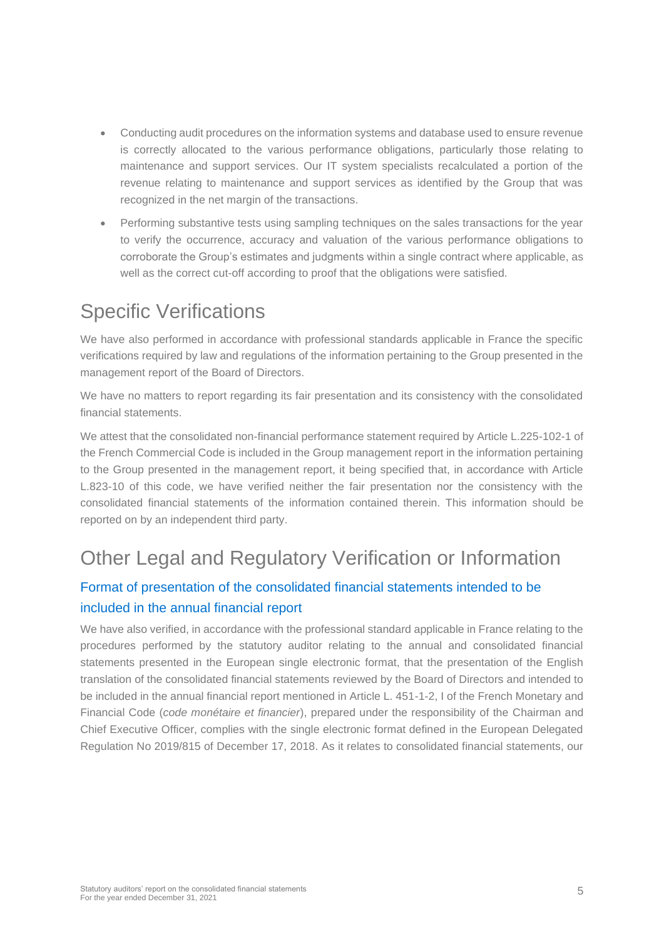- Conducting audit procedures on the information systems and database used to ensure revenue is correctly allocated to the various performance obligations, particularly those relating to maintenance and support services. Our IT system specialists recalculated a portion of the revenue relating to maintenance and support services as identified by the Group that was recognized in the net margin of the transactions.
- Performing substantive tests using sampling techniques on the sales transactions for the year to verify the occurrence, accuracy and valuation of the various performance obligations to corroborate the Group's estimates and judgments within a single contract where applicable, as well as the correct cut-off according to proof that the obligations were satisfied.

# Specific Verifications

We have also performed in accordance with professional standards applicable in France the specific verifications required by law and regulations of the information pertaining to the Group presented in the management report of the Board of Directors.

We have no matters to report regarding its fair presentation and its consistency with the consolidated financial statements.

We attest that the consolidated non-financial performance statement required by Article L.225-102-1 of the French Commercial Code is included in the Group management report in the information pertaining to the Group presented in the management report, it being specified that, in accordance with Article L.823-10 of this code, we have verified neither the fair presentation nor the consistency with the consolidated financial statements of the information contained therein. This information should be reported on by an independent third party.

# Other Legal and Regulatory Verification or Information

### Format of presentation of the consolidated financial statements intended to be included in the annual financial report

We have also verified, in accordance with the professional standard applicable in France relating to the procedures performed by the statutory auditor relating to the annual and consolidated financial statements presented in the European single electronic format, that the presentation of the English translation of the consolidated financial statements reviewed by the Board of Directors and intended to be included in the annual financial report mentioned in Article L. 451-1-2, I of the French Monetary and Financial Code (*code monétaire et financier*), prepared under the responsibility of the Chairman and Chief Executive Officer, complies with the single electronic format defined in the European Delegated Regulation No 2019/815 of December 17, 2018. As it relates to consolidated financial statements, our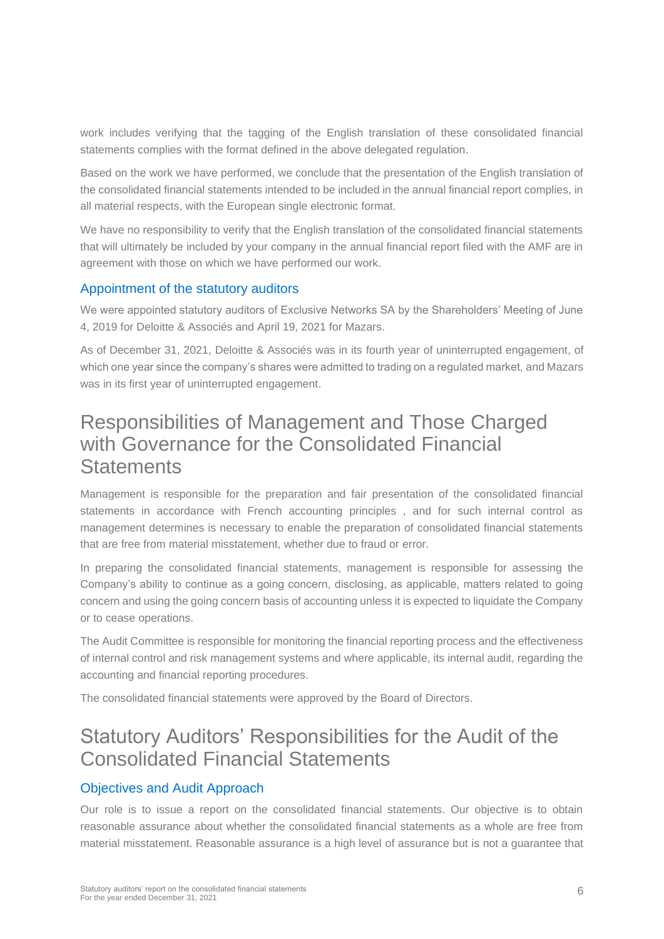work includes verifying that the tagging of the English translation of these consolidated financial statements complies with the format defined in the above delegated regulation.

Based on the work we have performed, we conclude that the presentation of the English translation of the consolidated financial statements intended to be included in the annual financial report complies, in all material respects, with the European single electronic format.

We have no responsibility to verify that the English translation of the consolidated financial statements that will ultimately be included by your company in the annual financial report filed with the AMF are in agreement with those on which we have performed our work.

#### Appointment of the statutory auditors

We were appointed statutory auditors of Exclusive Networks SA by the Shareholders' Meeting of June 4, 2019 for Deloitte & Associés and April 19, 2021 for Mazars.

As of December 31, 2021, Deloitte & Associés was in its fourth year of uninterrupted engagement, of which one year since the company's shares were admitted to trading on a regulated market, and Mazars was in its first year of uninterrupted engagement.

### Responsibilities of Management and Those Charged with Governance for the Consolidated Financial **Statements**

Management is responsible for the preparation and fair presentation of the consolidated financial statements in accordance with French accounting principles , and for such internal control as management determines is necessary to enable the preparation of consolidated financial statements that are free from material misstatement, whether due to fraud or error.

In preparing the consolidated financial statements, management is responsible for assessing the Company's ability to continue as a going concern, disclosing, as applicable, matters related to going concern and using the going concern basis of accounting unless it is expected to liquidate the Company or to cease operations.

The Audit Committee is responsible for monitoring the financial reporting process and the effectiveness of internal control and risk management systems and where applicable, its internal audit, regarding the accounting and financial reporting procedures.

The consolidated financial statements were approved by the Board of Directors.

# Statutory Auditors' Responsibilities for the Audit of the Consolidated Financial Statements

#### Objectives and Audit Approach

Our role is to issue a report on the consolidated financial statements. Our objective is to obtain reasonable assurance about whether the consolidated financial statements as a whole are free from material misstatement. Reasonable assurance is a high level of assurance but is not a guarantee that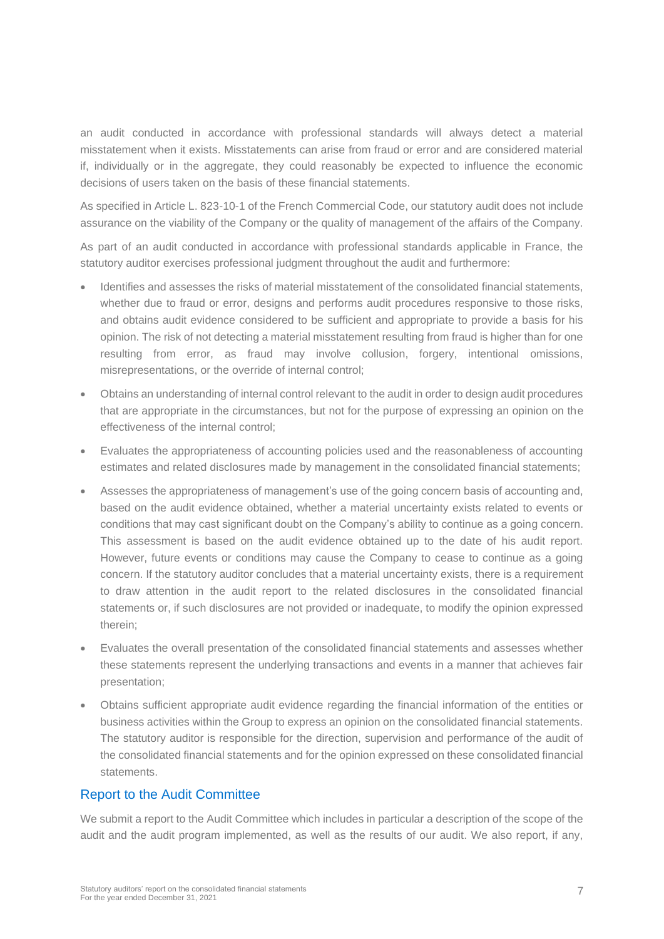an audit conducted in accordance with professional standards will always detect a material misstatement when it exists. Misstatements can arise from fraud or error and are considered material if, individually or in the aggregate, they could reasonably be expected to influence the economic decisions of users taken on the basis of these financial statements.

As specified in Article L. 823-10-1 of the French Commercial Code, our statutory audit does not include assurance on the viability of the Company or the quality of management of the affairs of the Company.

As part of an audit conducted in accordance with professional standards applicable in France, the statutory auditor exercises professional judgment throughout the audit and furthermore:

- Identifies and assesses the risks of material misstatement of the consolidated financial statements, whether due to fraud or error, designs and performs audit procedures responsive to those risks, and obtains audit evidence considered to be sufficient and appropriate to provide a basis for his opinion. The risk of not detecting a material misstatement resulting from fraud is higher than for one resulting from error, as fraud may involve collusion, forgery, intentional omissions, misrepresentations, or the override of internal control;
- Obtains an understanding of internal control relevant to the audit in order to design audit procedures that are appropriate in the circumstances, but not for the purpose of expressing an opinion on the effectiveness of the internal control;
- Evaluates the appropriateness of accounting policies used and the reasonableness of accounting estimates and related disclosures made by management in the consolidated financial statements;
- Assesses the appropriateness of management's use of the going concern basis of accounting and, based on the audit evidence obtained, whether a material uncertainty exists related to events or conditions that may cast significant doubt on the Company's ability to continue as a going concern. This assessment is based on the audit evidence obtained up to the date of his audit report. However, future events or conditions may cause the Company to cease to continue as a going concern. If the statutory auditor concludes that a material uncertainty exists, there is a requirement to draw attention in the audit report to the related disclosures in the consolidated financial statements or, if such disclosures are not provided or inadequate, to modify the opinion expressed therein;
- Evaluates the overall presentation of the consolidated financial statements and assesses whether these statements represent the underlying transactions and events in a manner that achieves fair presentation;
- Obtains sufficient appropriate audit evidence regarding the financial information of the entities or business activities within the Group to express an opinion on the consolidated financial statements. The statutory auditor is responsible for the direction, supervision and performance of the audit of the consolidated financial statements and for the opinion expressed on these consolidated financial statements.

#### Report to the Audit Committee

We submit a report to the Audit Committee which includes in particular a description of the scope of the audit and the audit program implemented, as well as the results of our audit. We also report, if any,